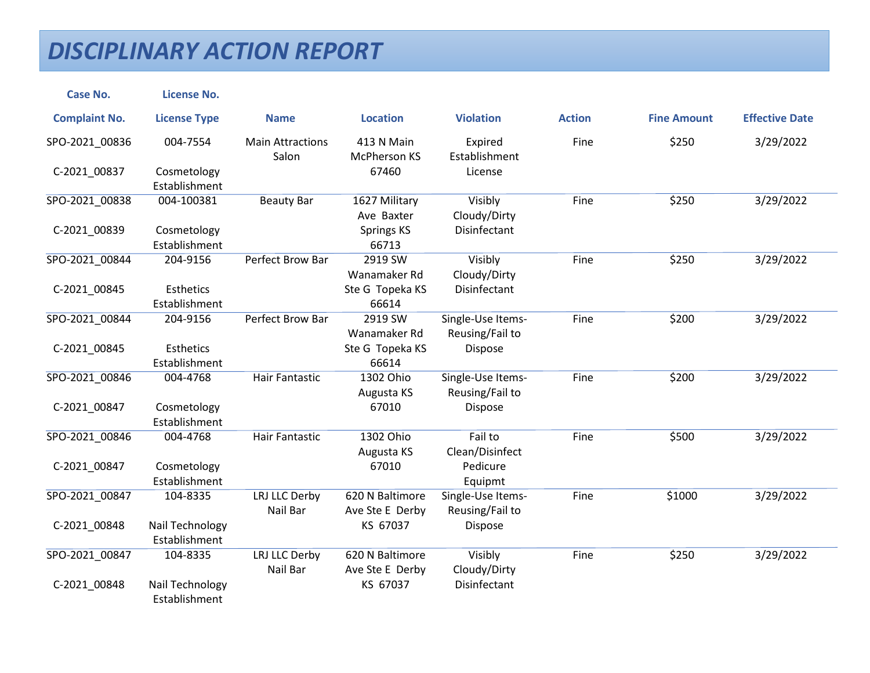| <b>Case No.</b>      | <b>License No.</b>               |                                  |                                    |                                      |               |                    |                       |
|----------------------|----------------------------------|----------------------------------|------------------------------------|--------------------------------------|---------------|--------------------|-----------------------|
| <b>Complaint No.</b> | <b>License Type</b>              | <b>Name</b>                      | <b>Location</b>                    | <b>Violation</b>                     | <b>Action</b> | <b>Fine Amount</b> | <b>Effective Date</b> |
| SPO-2021_00836       | 004-7554                         | <b>Main Attractions</b><br>Salon | 413 N Main<br><b>McPherson KS</b>  | Expired<br>Establishment             | Fine          | \$250              | 3/29/2022             |
| C-2021_00837         | Cosmetology<br>Establishment     |                                  | 67460                              | License                              |               |                    |                       |
| SPO-2021_00838       | 004-100381                       | <b>Beauty Bar</b>                | 1627 Military<br>Ave Baxter        | Visibly<br>Cloudy/Dirty              | Fine          | \$250              | 3/29/2022             |
| C-2021_00839         | Cosmetology<br>Establishment     |                                  | Springs KS<br>66713                | Disinfectant                         |               |                    |                       |
| SPO-2021_00844       | 204-9156                         | Perfect Brow Bar                 | 2919 SW<br>Wanamaker Rd            | Visibly<br>Cloudy/Dirty              | Fine          | \$250              | 3/29/2022             |
| C-2021_00845         | Esthetics<br>Establishment       |                                  | Ste G Topeka KS<br>66614           | Disinfectant                         |               |                    |                       |
| SPO-2021 00844       | 204-9156                         | Perfect Brow Bar                 | 2919 SW<br>Wanamaker Rd            | Single-Use Items-<br>Reusing/Fail to | Fine          | \$200              | 3/29/2022             |
| C-2021_00845         | Esthetics<br>Establishment       |                                  | Ste G Topeka KS<br>66614           | Dispose                              |               |                    |                       |
| SPO-2021 00846       | 004-4768                         | Hair Fantastic                   | 1302 Ohio<br>Augusta KS            | Single-Use Items-<br>Reusing/Fail to | Fine          | \$200              | 3/29/2022             |
| C-2021_00847         | Cosmetology<br>Establishment     |                                  | 67010                              | Dispose                              |               |                    |                       |
| SPO-2021 00846       | 004-4768                         | Hair Fantastic                   | 1302 Ohio<br>Augusta KS            | Fail to<br>Clean/Disinfect           | Fine          | \$500              | 3/29/2022             |
| C-2021 00847         | Cosmetology<br>Establishment     |                                  | 67010                              | Pedicure<br>Equipmt                  |               |                    |                       |
| SPO-2021_00847       | 104-8335                         | LRJ LLC Derby<br>Nail Bar        | 620 N Baltimore<br>Ave Ste E Derby | Single-Use Items-<br>Reusing/Fail to | Fine          | \$1000             | 3/29/2022             |
| C-2021_00848         | Nail Technology<br>Establishment |                                  | KS 67037                           | Dispose                              |               |                    |                       |
| SPO-2021 00847       | 104-8335                         | LRJ LLC Derby<br>Nail Bar        | 620 N Baltimore<br>Ave Ste E Derby | Visibly<br>Cloudy/Dirty              | Fine          | \$250              | 3/29/2022             |
| C-2021_00848         | Nail Technology<br>Establishment |                                  | KS 67037                           | Disinfectant                         |               |                    |                       |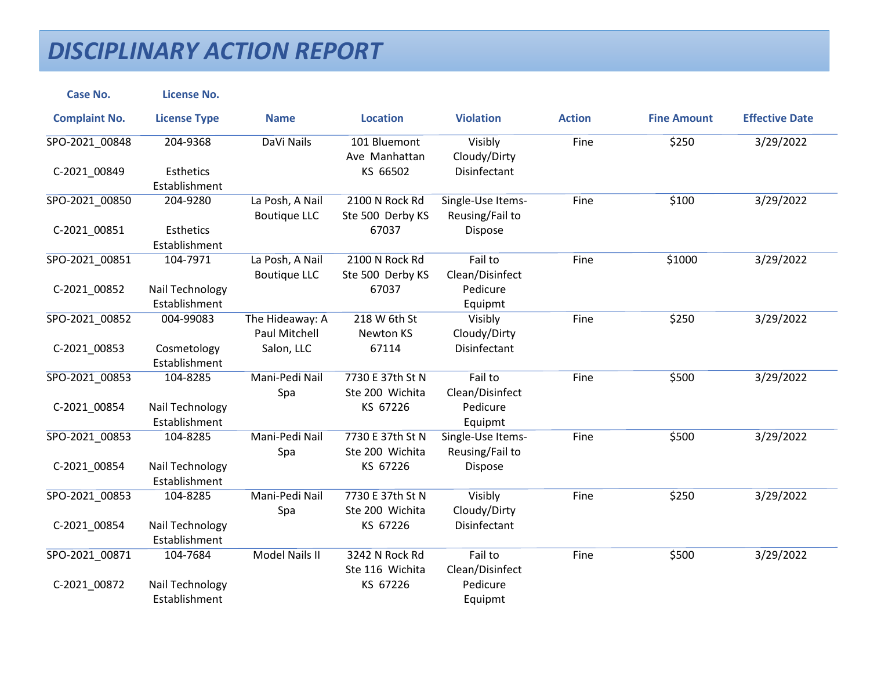| <b>Case No.</b>      | <b>License No.</b>                |                                         |                                     |                                      |               |                    |                       |
|----------------------|-----------------------------------|-----------------------------------------|-------------------------------------|--------------------------------------|---------------|--------------------|-----------------------|
| <b>Complaint No.</b> | <b>License Type</b>               | <b>Name</b>                             | <b>Location</b>                     | <b>Violation</b>                     | <b>Action</b> | <b>Fine Amount</b> | <b>Effective Date</b> |
| SPO-2021_00848       | 204-9368                          | DaVi Nails                              | 101 Bluemont<br>Ave Manhattan       | Visibly<br>Cloudy/Dirty              | Fine          | \$250              | 3/29/2022             |
| C-2021 00849         | <b>Esthetics</b><br>Establishment |                                         | KS 66502                            | Disinfectant                         |               |                    |                       |
| SPO-2021 00850       | 204-9280                          | La Posh, A Nail<br><b>Boutique LLC</b>  | 2100 N Rock Rd<br>Ste 500 Derby KS  | Single-Use Items-<br>Reusing/Fail to | Fine          | \$100              | 3/29/2022             |
| C-2021_00851         | Esthetics<br>Establishment        |                                         | 67037                               | Dispose                              |               |                    |                       |
| SPO-2021_00851       | 104-7971                          | La Posh, A Nail<br><b>Boutique LLC</b>  | 2100 N Rock Rd<br>Ste 500 Derby KS  | Fail to<br>Clean/Disinfect           | Fine          | \$1000             | 3/29/2022             |
| C-2021_00852         | Nail Technology<br>Establishment  |                                         | 67037                               | Pedicure<br>Equipmt                  |               |                    |                       |
| SPO-2021 00852       | 004-99083                         | The Hideaway: A<br><b>Paul Mitchell</b> | 218 W 6th St<br><b>Newton KS</b>    | Visibly<br>Cloudy/Dirty              | Fine          | \$250              | 3/29/2022             |
| C-2021_00853         | Cosmetology<br>Establishment      | Salon, LLC                              | 67114                               | Disinfectant                         |               |                    |                       |
| SPO-2021_00853       | 104-8285                          | Mani-Pedi Nail<br>Spa                   | 7730 E 37th St N<br>Ste 200 Wichita | Fail to<br>Clean/Disinfect           | Fine          | \$500              | 3/29/2022             |
| C-2021_00854         | Nail Technology<br>Establishment  |                                         | KS 67226                            | Pedicure<br>Equipmt                  |               |                    |                       |
| SPO-2021 00853       | 104-8285                          | Mani-Pedi Nail<br>Spa                   | 7730 E 37th St N<br>Ste 200 Wichita | Single-Use Items-<br>Reusing/Fail to | Fine          | \$500              | 3/29/2022             |
| C-2021_00854         | Nail Technology<br>Establishment  |                                         | KS 67226                            | Dispose                              |               |                    |                       |
| SPO-2021 00853       | 104-8285                          | Mani-Pedi Nail<br>Spa                   | 7730 E 37th St N<br>Ste 200 Wichita | Visibly<br>Cloudy/Dirty              | Fine          | \$250              | 3/29/2022             |
| C-2021_00854         | Nail Technology<br>Establishment  |                                         | KS 67226                            | Disinfectant                         |               |                    |                       |
| SPO-2021 00871       | 104-7684                          | <b>Model Nails II</b>                   | 3242 N Rock Rd<br>Ste 116 Wichita   | Fail to<br>Clean/Disinfect           | Fine          | \$500              | 3/29/2022             |
| C-2021_00872         | Nail Technology<br>Establishment  |                                         | KS 67226                            | Pedicure<br>Equipmt                  |               |                    |                       |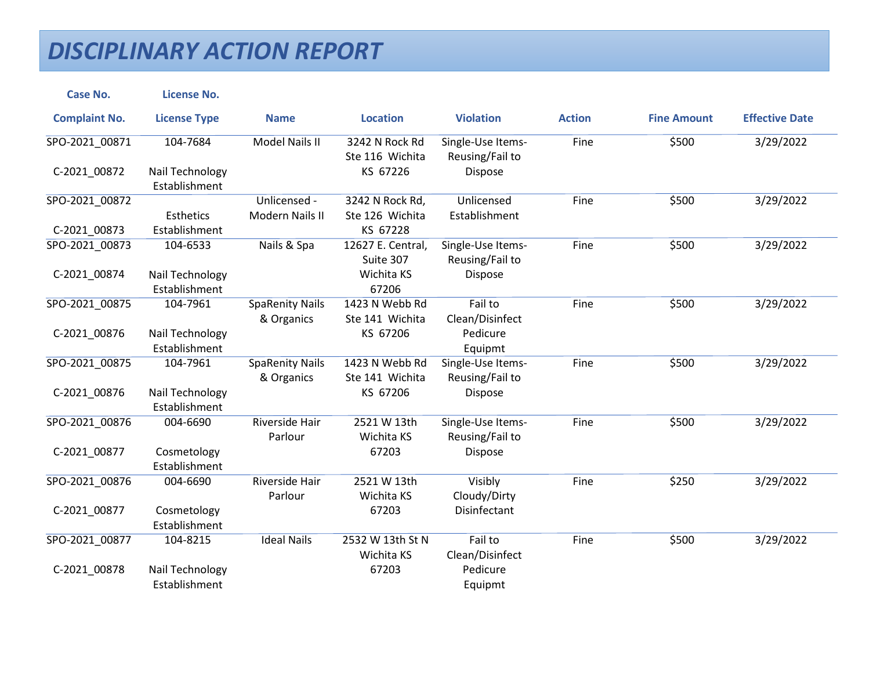| <b>Case No.</b>      | <b>License No.</b>               |                                      |                                   |                                      |               |                    |                       |
|----------------------|----------------------------------|--------------------------------------|-----------------------------------|--------------------------------------|---------------|--------------------|-----------------------|
| <b>Complaint No.</b> | <b>License Type</b>              | <b>Name</b>                          | <b>Location</b>                   | <b>Violation</b>                     | <b>Action</b> | <b>Fine Amount</b> | <b>Effective Date</b> |
| SPO-2021_00871       | 104-7684                         | Model Nails II                       | 3242 N Rock Rd<br>Ste 116 Wichita | Single-Use Items-<br>Reusing/Fail to | Fine          | \$500              | 3/29/2022             |
| C-2021_00872         | Nail Technology<br>Establishment |                                      | KS 67226                          | Dispose                              |               |                    |                       |
| SPO-2021_00872       |                                  | Unlicensed -                         | 3242 N Rock Rd,                   | Unlicensed                           | Fine          | \$500              | 3/29/2022             |
|                      | Esthetics                        | Modern Nails II                      | Ste 126 Wichita                   | Establishment                        |               |                    |                       |
| C-2021_00873         | Establishment                    |                                      | KS 67228                          |                                      |               |                    |                       |
| SPO-2021_00873       | 104-6533                         | Nails & Spa                          | 12627 E. Central,<br>Suite 307    | Single-Use Items-<br>Reusing/Fail to | Fine          | \$500              | 3/29/2022             |
| C-2021_00874         | Nail Technology                  |                                      | Wichita KS                        | Dispose                              |               |                    |                       |
|                      | Establishment                    |                                      | 67206                             |                                      |               |                    |                       |
| SPO-2021 00875       | 104-7961                         | <b>SpaRenity Nails</b><br>& Organics | 1423 N Webb Rd<br>Ste 141 Wichita | Fail to<br>Clean/Disinfect           | Fine          | \$500              | 3/29/2022             |
| C-2021 00876         | Nail Technology                  |                                      | KS 67206                          | Pedicure                             |               |                    |                       |
|                      | Establishment                    |                                      |                                   | Equipmt                              |               |                    |                       |
| SPO-2021_00875       | 104-7961                         | <b>SpaRenity Nails</b><br>& Organics | 1423 N Webb Rd<br>Ste 141 Wichita | Single-Use Items-<br>Reusing/Fail to | Fine          | \$500              | 3/29/2022             |
| C-2021_00876         | Nail Technology<br>Establishment |                                      | KS 67206                          | Dispose                              |               |                    |                       |
| SPO-2021 00876       | 004-6690                         | Riverside Hair<br>Parlour            | 2521 W 13th<br>Wichita KS         | Single-Use Items-<br>Reusing/Fail to | Fine          | \$500              | 3/29/2022             |
| C-2021_00877         | Cosmetology<br>Establishment     |                                      | 67203                             | Dispose                              |               |                    |                       |
| SPO-2021_00876       | 004-6690                         | <b>Riverside Hair</b><br>Parlour     | 2521 W 13th<br>Wichita KS         | Visibly<br>Cloudy/Dirty              | Fine          | \$250              | 3/29/2022             |
| C-2021 00877         | Cosmetology<br>Establishment     |                                      | 67203                             | Disinfectant                         |               |                    |                       |
| SPO-2021 00877       | 104-8215                         | <b>Ideal Nails</b>                   | 2532 W 13th St N<br>Wichita KS    | Fail to<br>Clean/Disinfect           | Fine          | \$500              | 3/29/2022             |
| C-2021_00878         | Nail Technology                  |                                      | 67203                             | Pedicure                             |               |                    |                       |
|                      | Establishment                    |                                      |                                   | Equipmt                              |               |                    |                       |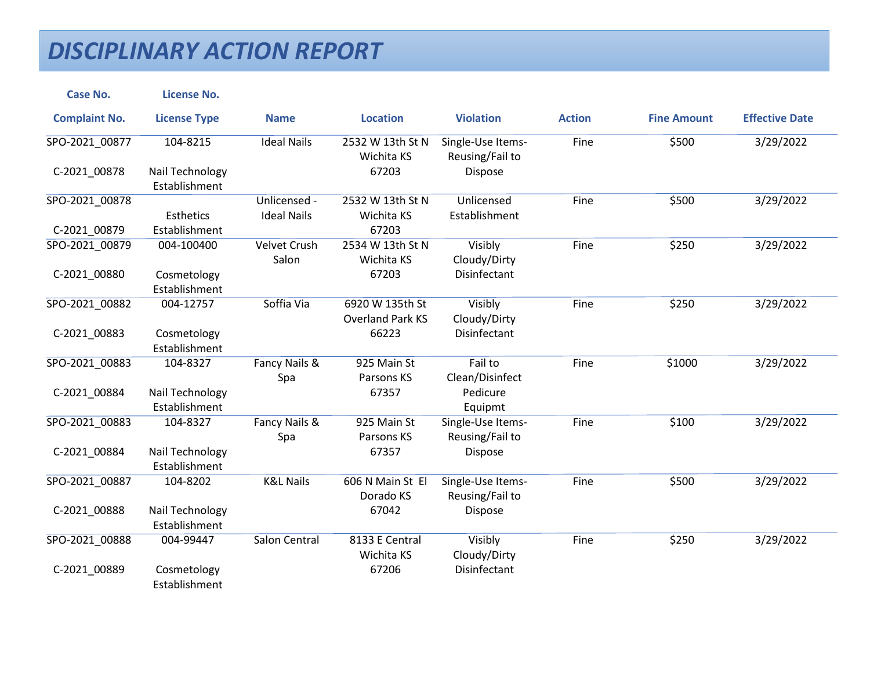| <b>Case No.</b>      | <b>License No.</b>               |                      |                                |                                      |               |                    |                       |
|----------------------|----------------------------------|----------------------|--------------------------------|--------------------------------------|---------------|--------------------|-----------------------|
| <b>Complaint No.</b> | <b>License Type</b>              | <b>Name</b>          | <b>Location</b>                | <b>Violation</b>                     | <b>Action</b> | <b>Fine Amount</b> | <b>Effective Date</b> |
| SPO-2021_00877       | 104-8215                         | <b>Ideal Nails</b>   | 2532 W 13th St N<br>Wichita KS | Single-Use Items-<br>Reusing/Fail to | Fine          | \$500              | 3/29/2022             |
| C-2021_00878         | Nail Technology<br>Establishment |                      | 67203                          | Dispose                              |               |                    |                       |
| SPO-2021_00878       |                                  | Unlicensed -         | 2532 W 13th St N               | Unlicensed                           | Fine          | \$500              | 3/29/2022             |
|                      | Esthetics                        | <b>Ideal Nails</b>   | Wichita KS                     | Establishment                        |               |                    |                       |
| C-2021_00879         | Establishment                    |                      | 67203                          |                                      |               |                    |                       |
| SPO-2021 00879       | 004-100400                       | Velvet Crush         | 2534 W 13th St N               | Visibly                              | Fine          | \$250              | 3/29/2022             |
|                      |                                  | Salon                | Wichita KS                     | Cloudy/Dirty                         |               |                    |                       |
| C-2021 00880         | Cosmetology                      |                      | 67203                          | Disinfectant                         |               |                    |                       |
|                      | Establishment                    |                      |                                |                                      |               |                    |                       |
| SPO-2021_00882       | 004-12757                        | Soffia Via           | 6920 W 135th St                | Visibly                              | Fine          | \$250              | 3/29/2022             |
|                      |                                  |                      | <b>Overland Park KS</b>        | Cloudy/Dirty                         |               |                    |                       |
| C-2021_00883         | Cosmetology                      |                      | 66223                          | Disinfectant                         |               |                    |                       |
|                      | Establishment                    |                      |                                |                                      |               |                    |                       |
| SPO-2021 00883       | 104-8327                         | Fancy Nails &        | 925 Main St                    | Fail to                              | Fine          | \$1000             | 3/29/2022             |
|                      |                                  | Spa                  | Parsons KS                     | Clean/Disinfect                      |               |                    |                       |
| C-2021 00884         | Nail Technology                  |                      | 67357                          | Pedicure                             |               |                    |                       |
|                      | Establishment                    |                      |                                | Equipmt                              |               |                    |                       |
| SPO-2021_00883       | 104-8327                         | Fancy Nails &        | 925 Main St                    | Single-Use Items-                    | Fine          | \$100              | 3/29/2022             |
|                      |                                  | Spa                  | Parsons KS                     | Reusing/Fail to                      |               |                    |                       |
| C-2021_00884         | Nail Technology                  |                      | 67357                          | Dispose                              |               |                    |                       |
|                      | Establishment                    |                      |                                |                                      |               |                    |                       |
| SPO-2021 00887       | 104-8202                         | <b>K&amp;L Nails</b> | 606 N Main St El               | Single-Use Items-                    | Fine          | \$500              | 3/29/2022             |
|                      |                                  |                      | Dorado KS                      | Reusing/Fail to                      |               |                    |                       |
| C-2021 00888         | Nail Technology                  |                      | 67042                          | Dispose                              |               |                    |                       |
|                      | Establishment                    |                      |                                |                                      |               |                    |                       |
| SPO-2021_00888       | 004-99447                        | Salon Central        | 8133 E Central                 | Visibly                              | Fine          | \$250              | 3/29/2022             |
|                      |                                  |                      | Wichita KS                     | Cloudy/Dirty                         |               |                    |                       |
| C-2021_00889         | Cosmetology                      |                      | 67206                          | Disinfectant                         |               |                    |                       |
|                      | Establishment                    |                      |                                |                                      |               |                    |                       |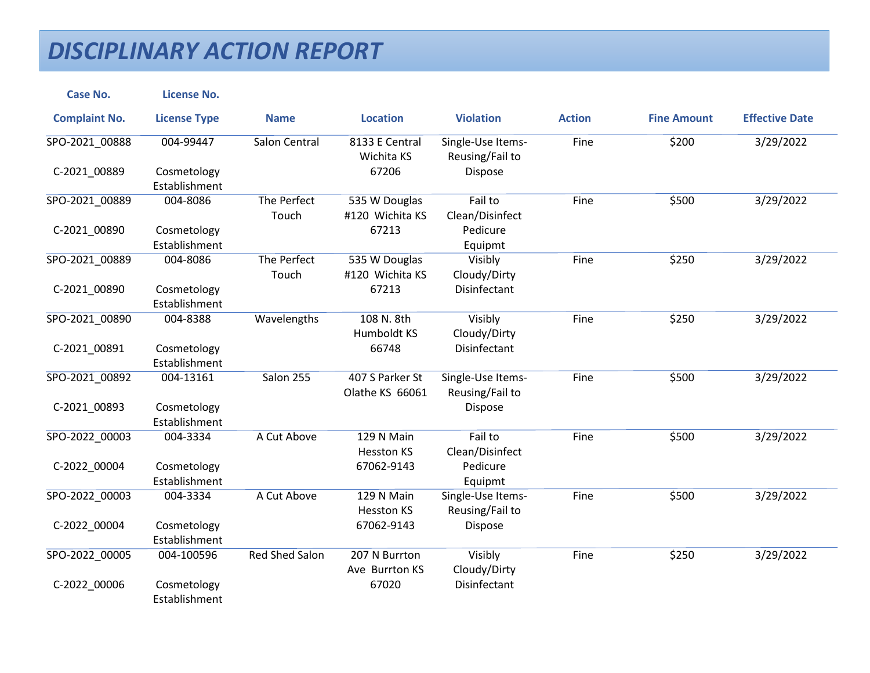| <b>Case No.</b>      | <b>License No.</b>           |                       |                                    |                                      |               |                    |                       |
|----------------------|------------------------------|-----------------------|------------------------------------|--------------------------------------|---------------|--------------------|-----------------------|
| <b>Complaint No.</b> | <b>License Type</b>          | <b>Name</b>           | <b>Location</b>                    | <b>Violation</b>                     | <b>Action</b> | <b>Fine Amount</b> | <b>Effective Date</b> |
| SPO-2021_00888       | 004-99447                    | Salon Central         | 8133 E Central<br>Wichita KS       | Single-Use Items-<br>Reusing/Fail to | Fine          | \$200              | 3/29/2022             |
| C-2021 00889         | Cosmetology<br>Establishment |                       | 67206                              | Dispose                              |               |                    |                       |
| SPO-2021_00889       | 004-8086                     | The Perfect<br>Touch  | 535 W Douglas<br>#120 Wichita KS   | Fail to<br>Clean/Disinfect           | Fine          | \$500              | 3/29/2022             |
| C-2021_00890         | Cosmetology<br>Establishment |                       | 67213                              | Pedicure<br>Equipmt                  |               |                    |                       |
| SPO-2021_00889       | 004-8086                     | The Perfect<br>Touch  | 535 W Douglas<br>#120 Wichita KS   | Visibly<br>Cloudy/Dirty              | Fine          | \$250              | 3/29/2022             |
| C-2021_00890         | Cosmetology<br>Establishment |                       | 67213                              | Disinfectant                         |               |                    |                       |
| SPO-2021 00890       | 004-8388                     | Wavelengths           | 108 N. 8th<br>Humboldt KS          | Visibly<br>Cloudy/Dirty              | Fine          | \$250              | 3/29/2022             |
| C-2021_00891         | Cosmetology<br>Establishment |                       | 66748                              | Disinfectant                         |               |                    |                       |
| SPO-2021_00892       | 004-13161                    | Salon 255             | 407 S Parker St<br>Olathe KS 66061 | Single-Use Items-<br>Reusing/Fail to | Fine          | \$500              | 3/29/2022             |
| C-2021_00893         | Cosmetology<br>Establishment |                       |                                    | Dispose                              |               |                    |                       |
| SPO-2022 00003       | 004-3334                     | A Cut Above           | 129 N Main<br><b>Hesston KS</b>    | Fail to<br>Clean/Disinfect           | Fine          | \$500              | 3/29/2022             |
| C-2022_00004         | Cosmetology<br>Establishment |                       | 67062-9143                         | Pedicure<br>Equipmt                  |               |                    |                       |
| SPO-2022 00003       | 004-3334                     | A Cut Above           | 129 N Main<br><b>Hesston KS</b>    | Single-Use Items-<br>Reusing/Fail to | Fine          | \$500              | 3/29/2022             |
| C-2022_00004         | Cosmetology<br>Establishment |                       | 67062-9143                         | Dispose                              |               |                    |                       |
| SPO-2022 00005       | 004-100596                   | <b>Red Shed Salon</b> | 207 N Burrton<br>Ave Burrton KS    | Visibly<br>Cloudy/Dirty              | Fine          | \$250              | 3/29/2022             |
| C-2022_00006         | Cosmetology<br>Establishment |                       | 67020                              | Disinfectant                         |               |                    |                       |